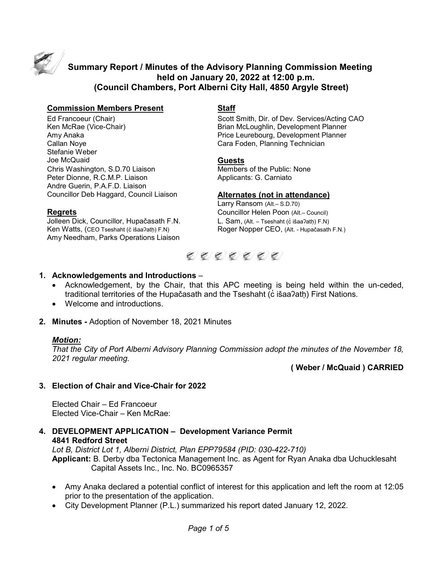

# **Summary Report / Minutes of the Advisory Planning Commission Meeting held on January 20, 2022 at 12:00 p.m. (Council Chambers, Port Alberni City Hall, 4850 Argyle Street)**

### **Commission Members Present Staff**

Stefanie Weber Joe McQuaid **Guests** Chris Washington, S.D.70 Liaison Members of the Public: None Peter Dionne, R.C.M.P. Liaison **Applicants: G. Carniato** Andre Guerin, P.A.F.D. Liaison Councillor Deb Haggard, Council Liaison **Alternates (not in attendance)**

Jolleen Dick, Councillor, Hupačasath F.N. Ken Watts, (CEO Tseshaht (c̓ išaaʔath) F.N) Roger Nopper CEO, (Alt. - Hupačasath F.N.) Amy Needham, Parks Operations Liaison

Ed Francoeur (Chair) Scott Smith, Dir. of Dev. Services/Acting CAO Brian McLoughlin, Development Planner Amy Anaka Price Leurebourg, Development Planner Cara Foden, Planning Technician

Larry Ransom (Alt - S.D.70) **Regrets**<br>Jolleen Dick, Councillor, Hupačasath F.N. L. Sam, (Alt. – Tseshaht (ċ išaaʔatḥ) F.N)



### **1. Acknowledgements and Introductions** –

- Acknowledgement, by the Chair, that this APC meeting is being held within the un-ceded, traditional territories of the Hupačasath and the Tseshaht (c išaa?ath) First Nations.
- Welcome and introductions.
- **2. Minutes -** Adoption of November 18, 2021 Minutes

### *Motion:*

*That the City of Port Alberni Advisory Planning Commission adopt the minutes of the November 18, 2021 regular meeting.*

**( Weber / McQuaid ) CARRIED**

### **3. Election of Chair and Vice-Chair for 2022**

Elected Chair – Ed Francoeur Elected Vice-Chair – Ken McRae:

**4. DEVELOPMENT APPLICATION – Development Variance Permit 4841 Redford Street**

*Lot B, District Lot 1, Alberni District, Plan EPP79584 (PID: 030-422-710)* **Applicant:** B. Derby dba Tectonica Management Inc. as Agent for Ryan Anaka dba Uchucklesaht Capital Assets Inc., Inc. No. BC0965357

- Amy Anaka declared a potential conflict of interest for this application and left the room at 12:05 prior to the presentation of the application.
- City Development Planner (P.L.) summarized his report dated January 12, 2022.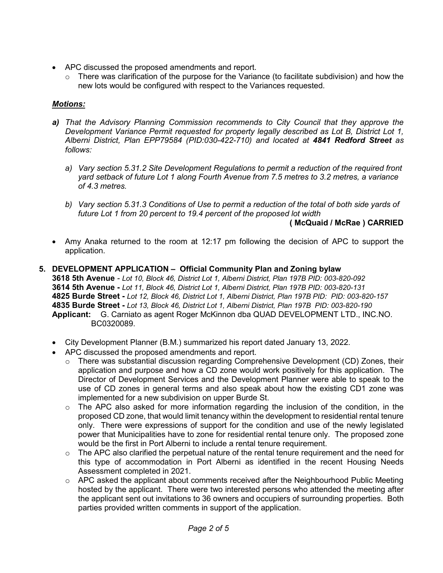- APC discussed the proposed amendments and report.
	- $\circ$  There was clarification of the purpose for the Variance (to facilitate subdivision) and how the new lots would be configured with respect to the Variances requested.

## *Motions:*

- *a) That the Advisory Planning Commission recommends to City Council that they approve the Development Variance Permit requested for property legally described as Lot B, District Lot 1, Alberni District, Plan EPP79584 (PID:030-422-710) and located at 4841 Redford Street as follows:*
	- *a) Vary section 5.31.2 Site Development Regulations to permit a reduction of the required front yard setback of future Lot 1 along Fourth Avenue from 7.5 metres to 3.2 metres, a variance of 4.3 metres.*
	- *b) Vary section 5.31.3 Conditions of Use to permit a reduction of the total of both side yards of future Lot 1 from 20 percent to 19.4 percent of the proposed lot width*

## **( McQuaid / McRae ) CARRIED**

- Amy Anaka returned to the room at 12:17 pm following the decision of APC to support the application.
- **5. DEVELOPMENT APPLICATION – Official Community Plan and Zoning bylaw 3618 5th Avenue** *- Lot 10, Block 46, District Lot 1, Alberni District, Plan 197B PID: 003-820-092* **3614 5th Avenue -** *Lot 11, Block 46, District Lot 1, Alberni District, Plan 197B PID: 003-820-131* **4825 Burde Street -** *Lot 12, Block 46, District Lot 1, Alberni District, Plan 197B PID: PID: 003-820-157* **4835 Burde Street -** *Lot 13, Block 46, District Lot 1, Alberni District, Plan 197B PID: 003-820-190* **Applicant:** G. Carniato as agent Roger McKinnon dba QUAD DEVELOPMENT LTD., INC.NO. BC0320089.
	- City Development Planner (B.M.) summarized his report dated January 13, 2022.
	- APC discussed the proposed amendments and report.
		- o There was substantial discussion regarding Comprehensive Development (CD) Zones, their application and purpose and how a CD zone would work positively for this application. The Director of Development Services and the Development Planner were able to speak to the use of CD zones in general terms and also speak about how the existing CD1 zone was implemented for a new subdivision on upper Burde St.
		- $\circ$  The APC also asked for more information regarding the inclusion of the condition, in the proposed CD zone, that would limit tenancy within the development to residential rental tenure only. There were expressions of support for the condition and use of the newly legislated power that Municipalities have to zone for residential rental tenure only. The proposed zone would be the first in Port Alberni to include a rental tenure requirement.
		- $\circ$  The APC also clarified the perpetual nature of the rental tenure requirement and the need for this type of accommodation in Port Alberni as identified in the recent Housing Needs Assessment completed in 2021.
		- o APC asked the applicant about comments received after the Neighbourhood Public Meeting hosted by the applicant. There were two interested persons who attended the meeting after the applicant sent out invitations to 36 owners and occupiers of surrounding properties. Both parties provided written comments in support of the application.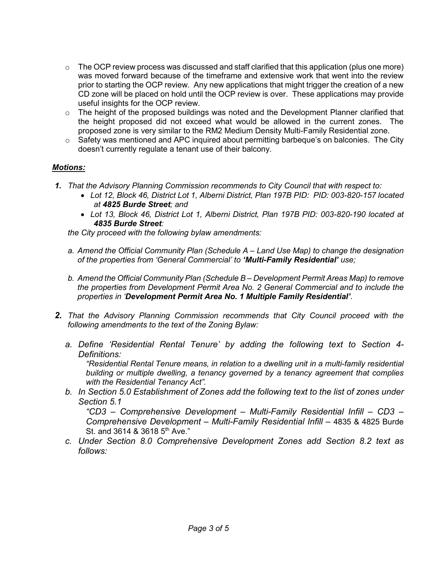- $\circ$  The OCP review process was discussed and staff clarified that this application (plus one more) was moved forward because of the timeframe and extensive work that went into the review prior to starting the OCP review. Any new applications that might trigger the creation of a new CD zone will be placed on hold until the OCP review is over. These applications may provide useful insights for the OCP review.
- o The height of the proposed buildings was noted and the Development Planner clarified that the height proposed did not exceed what would be allowed in the current zones. The proposed zone is very similar to the RM2 Medium Density Multi-Family Residential zone.
- o Safety was mentioned and APC inquired about permitting barbeque's on balconies. The City doesn't currently regulate a tenant use of their balcony.

## *Motions:*

- *1. That the Advisory Planning Commission recommends to City Council that with respect to:*
	- *Lot 12, Block 46, District Lot 1, Alberni District, Plan 197B PID: PID: 003-820-157 located at 4825 Burde Street; and*
	- *Lot 13, Block 46, District Lot 1, Alberni District, Plan 197B PID: 003-820-190 located at 4835 Burde Street:*

*the City proceed with the following bylaw amendments:*

- *a. Amend the Official Community Plan (Schedule A – Land Use Map) to change the designation of the properties from 'General Commercial' to 'Multi-Family Residential' use;*
- *b. Amend the Official Community Plan (Schedule B – Development Permit Areas Map) to remove the properties from Development Permit Area No. 2 General Commercial and to include the properties in 'Development Permit Area No. 1 Multiple Family Residential'*.
- *2. That the Advisory Planning Commission recommends that City Council proceed with the following amendments to the text of the Zoning Bylaw:*
	- *a. Define 'Residential Rental Tenure' by adding the following text to Section 4- Definitions:*

*"Residential Rental Tenure means, in relation to a dwelling unit in a multi-family residential building or multiple dwelling, a tenancy governed by a tenancy agreement that complies with the Residential Tenancy Act".*

*b. In Section 5.0 Establishment of Zones add the following text to the list of zones under Section 5.1* 

*"CD3 – Comprehensive Development – Multi-Family Residential Infill – CD3 – Comprehensive Development – Multi-Family Residential Infill –* 4835 & 4825 Burde St. and 3614 & 3618 5<sup>th</sup> Ave."

*c. Under Section 8.0 Comprehensive Development Zones add Section 8.2 text as follows:*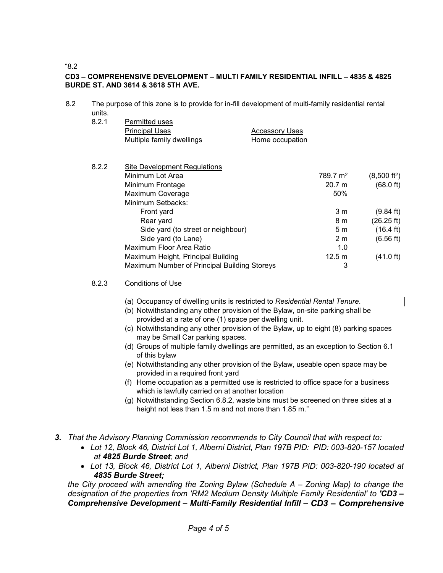"8.2

### **CD3 – COMPREHENSIVE DEVELOPMENT – MULTI FAMILY RESIDENTIAL INFILL – 4835 & 4825 BURDE ST. AND 3614 & 3618 5TH AVE.**

8.2 The purpose of this zone is to provide for in-fill development of multi-family residential rental units.

| 8.2.1 | Permitted uses            |                       |
|-------|---------------------------|-----------------------|
|       | <b>Principal Uses</b>     | <b>Accessory Uses</b> |
|       | Multiple family dwellings | Home occupation       |

| 8.2.2 | Site Development Regulations                 |                      |                        |  |
|-------|----------------------------------------------|----------------------|------------------------|--|
|       | Minimum Lot Area                             | 789.7 m <sup>2</sup> | $(8,500 \text{ ft}^2)$ |  |
|       | Minimum Frontage                             | 20.7 m               | $(68.0 \text{ ft})$    |  |
|       | Maximum Coverage                             | 50%                  |                        |  |
|       | Minimum Setbacks:                            |                      |                        |  |
|       | Front yard                                   | 3 <sub>m</sub>       | $(9.84 \text{ ft})$    |  |
|       | Rear yard                                    | 8 <sub>m</sub>       | (26.25 ft)             |  |
|       | Side yard (to street or neighbour)           | 5m                   | $(16.4 \text{ ft})$    |  |
|       | Side yard (to Lane)                          | 2 <sub>m</sub>       | (6.56 ft)              |  |
|       | Maximum Floor Area Ratio                     | 1.0                  |                        |  |
|       | Maximum Height, Principal Building           | 12.5 m               | $(41.0 \text{ ft})$    |  |
|       | Maximum Number of Principal Building Storeys | 3                    |                        |  |

#### 8.2.3 Conditions of Use

- (a) Occupancy of dwelling units is restricted to *Residential Rental Tenure*.
- (b) Notwithstanding any other provision of the Bylaw, on-site parking shall be provided at a rate of one (1) space per dwelling unit.
- (c) Notwithstanding any other provision of the Bylaw, up to eight (8) parking spaces may be Small Car parking spaces.
- (d) Groups of multiple family dwellings are permitted, as an exception to Section 6.1 of this bylaw
- (e) Notwithstanding any other provision of the Bylaw, useable open space may be provided in a required front yard
- (f) Home occupation as a permitted use is restricted to office space for a business which is lawfully carried on at another location
- (g) Notwithstanding Section 6.8.2, waste bins must be screened on three sides at a height not less than 1.5 m and not more than 1.85 m."
- *3. That the Advisory Planning Commission recommends to City Council that with respect to:*
	- *Lot 12, Block 46, District Lot 1, Alberni District, Plan 197B PID: PID: 003-820-157 located at 4825 Burde Street; and*
	- *Lot 13, Block 46, District Lot 1, Alberni District, Plan 197B PID: 003-820-190 located at 4835 Burde Street;*

*the City proceed with amending the Zoning Bylaw (Schedule A – Zoning Map) to change the designation of the properties from 'RM2 Medium Density Multiple Family Residential' to 'CD3 – Comprehensive Development – Multi-Family Residential Infill – CD3 – Comprehensive*